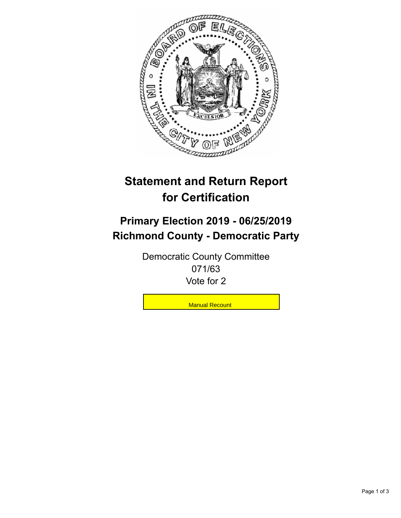

## **Statement and Return Report for Certification**

## **Primary Election 2019 - 06/25/2019 Richmond County - Democratic Party**

Democratic County Committee 071/63 Vote for 2

**Manual Recount**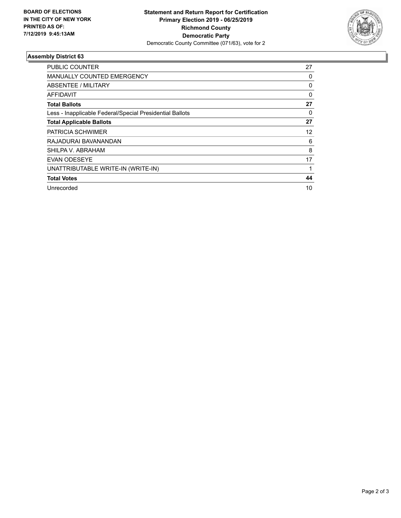

## **Assembly District 63**

| PUBLIC COUNTER                                           | 27 |
|----------------------------------------------------------|----|
| <b>MANUALLY COUNTED EMERGENCY</b>                        | 0  |
| ABSENTEE / MILITARY                                      | 0  |
| AFFIDAVIT                                                | 0  |
| <b>Total Ballots</b>                                     | 27 |
| Less - Inapplicable Federal/Special Presidential Ballots | 0  |
| <b>Total Applicable Ballots</b>                          | 27 |
| <b>PATRICIA SCHWIMER</b>                                 | 12 |
| RAJADURAI BAVANANDAN                                     | 6  |
| SHILPA V. ABRAHAM                                        | 8  |
| <b>EVAN ODESEYE</b>                                      | 17 |
| UNATTRIBUTABLE WRITE-IN (WRITE-IN)                       |    |
| <b>Total Votes</b>                                       | 44 |
| Unrecorded                                               | 10 |